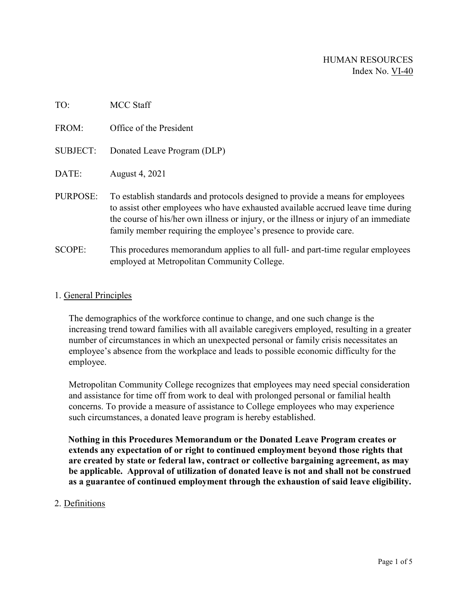| TO:             | <b>MCC Staff</b>                                                                                                                                                                                                                                                                                                                |
|-----------------|---------------------------------------------------------------------------------------------------------------------------------------------------------------------------------------------------------------------------------------------------------------------------------------------------------------------------------|
| FROM:           | Office of the President                                                                                                                                                                                                                                                                                                         |
| <b>SUBJECT:</b> | Donated Leave Program (DLP)                                                                                                                                                                                                                                                                                                     |
| DATE:           | August 4, 2021                                                                                                                                                                                                                                                                                                                  |
| PURPOSE:        | To establish standards and protocols designed to provide a means for employees<br>to assist other employees who have exhausted available accrued leave time during<br>the course of his/her own illness or injury, or the illness or injury of an immediate<br>family member requiring the employee's presence to provide care. |
| SCOPE:          | This procedures memorandum applies to all full- and part-time regular employees<br>employed at Metropolitan Community College.                                                                                                                                                                                                  |

### 1. General Principles

The demographics of the workforce continue to change, and one such change is the increasing trend toward families with all available caregivers employed, resulting in a greater number of circumstances in which an unexpected personal or family crisis necessitates an employee's absence from the workplace and leads to possible economic difficulty for the employee.

Metropolitan Community College recognizes that employees may need special consideration and assistance for time off from work to deal with prolonged personal or familial health concerns. To provide a measure of assistance to College employees who may experience such circumstances, a donated leave program is hereby established.

**Nothing in this Procedures Memorandum or the Donated Leave Program creates or extends any expectation of or right to continued employment beyond those rights that are created by state or federal law, contract or collective bargaining agreement, as may be applicable. Approval of utilization of donated leave is not and shall not be construed as a guarantee of continued employment through the exhaustion of said leave eligibility.** 

#### 2. Definitions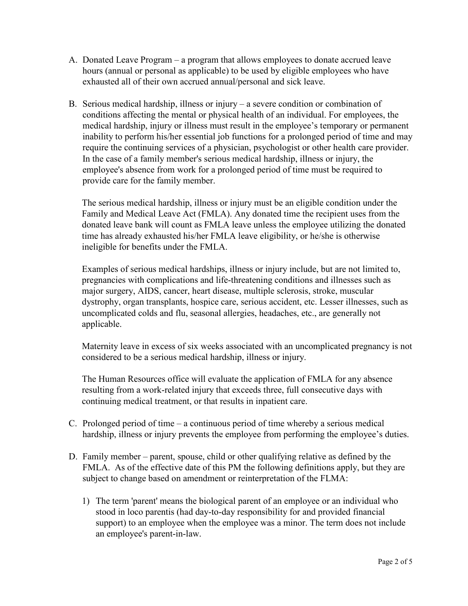- A. Donated Leave Program a program that allows employees to donate accrued leave hours (annual or personal as applicable) to be used by eligible employees who have exhausted all of their own accrued annual/personal and sick leave.
- B. Serious medical hardship, illness or injury a severe condition or combination of conditions affecting the mental or physical health of an individual. For employees, the medical hardship, injury or illness must result in the employee's temporary or permanent inability to perform his/her essential job functions for a prolonged period of time and may require the continuing services of a physician, psychologist or other health care provider. In the case of a family member's serious medical hardship, illness or injury, the employee's absence from work for a prolonged period of time must be required to provide care for the family member.

The serious medical hardship, illness or injury must be an eligible condition under the Family and Medical Leave Act (FMLA). Any donated time the recipient uses from the donated leave bank will count as FMLA leave unless the employee utilizing the donated time has already exhausted his/her FMLA leave eligibility, or he/she is otherwise ineligible for benefits under the FMLA.

Examples of serious medical hardships, illness or injury include, but are not limited to, pregnancies with complications and life-threatening conditions and illnesses such as major surgery, AIDS, cancer, heart disease, multiple sclerosis, stroke, muscular dystrophy, organ transplants, hospice care, serious accident, etc. Lesser illnesses, such as uncomplicated colds and flu, seasonal allergies, headaches, etc., are generally not applicable.

Maternity leave in excess of six weeks associated with an uncomplicated pregnancy is not considered to be a serious medical hardship, illness or injury.

The Human Resources office will evaluate the application of FMLA for any absence resulting from a work-related injury that exceeds three, full consecutive days with continuing medical treatment, or that results in inpatient care.

- C. Prolonged period of time a continuous period of time whereby a serious medical hardship, illness or injury prevents the employee from performing the employee's duties.
- D. Family member parent, spouse, child or other qualifying relative as defined by the FMLA. As of the effective date of this PM the following definitions apply, but they are subject to change based on amendment or reinterpretation of the FLMA:
	- 1) The term 'parent' means the biological parent of an employee or an individual who stood in loco parentis (had day-to-day responsibility for and provided financial support) to an employee when the employee was a minor. The term does not include an employee's parent-in-law.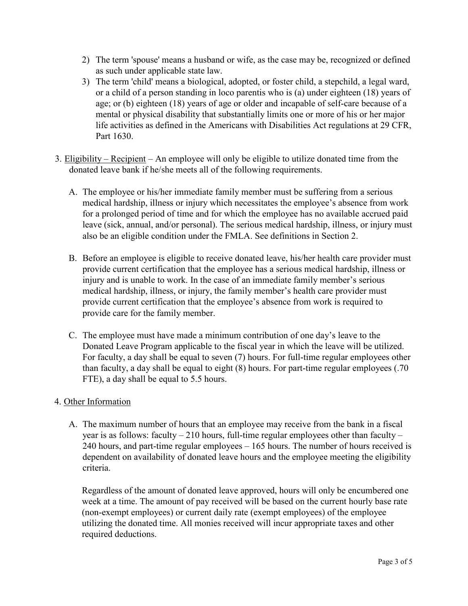- 2) The term 'spouse' means a husband or wife, as the case may be, recognized or defined as such under applicable state law.
- 3) The term 'child' means a biological, adopted, or foster child, a stepchild, a legal ward, or a child of a person standing in loco parentis who is (a) under eighteen (18) years of age; or (b) eighteen (18) years of age or older and incapable of self-care because of a mental or physical disability that substantially limits one or more of his or her major life activities as defined in the Americans with Disabilities Act regulations at 29 CFR, Part 1630.
- 3. Eligibility Recipient An employee will only be eligible to utilize donated time from the donated leave bank if he/she meets all of the following requirements.
	- A. The employee or his/her immediate family member must be suffering from a serious medical hardship, illness or injury which necessitates the employee's absence from work for a prolonged period of time and for which the employee has no available accrued paid leave (sick, annual, and/or personal). The serious medical hardship, illness, or injury must also be an eligible condition under the FMLA. See definitions in Section 2.
	- B. Before an employee is eligible to receive donated leave, his/her health care provider must provide current certification that the employee has a serious medical hardship, illness or injury and is unable to work. In the case of an immediate family member's serious medical hardship, illness, or injury, the family member's health care provider must provide current certification that the employee's absence from work is required to provide care for the family member.
	- C. The employee must have made a minimum contribution of one day's leave to the Donated Leave Program applicable to the fiscal year in which the leave will be utilized. For faculty, a day shall be equal to seven (7) hours. For full-time regular employees other than faculty, a day shall be equal to eight (8) hours. For part-time regular employees (.70 FTE), a day shall be equal to 5.5 hours.

## 4. Other Information

A. The maximum number of hours that an employee may receive from the bank in a fiscal year is as follows: faculty  $-210$  hours, full-time regular employees other than faculty  $-$ 240 hours, and part-time regular employees – 165 hours. The number of hours received is dependent on availability of donated leave hours and the employee meeting the eligibility criteria.

Regardless of the amount of donated leave approved, hours will only be encumbered one week at a time. The amount of pay received will be based on the current hourly base rate (non-exempt employees) or current daily rate (exempt employees) of the employee utilizing the donated time. All monies received will incur appropriate taxes and other required deductions.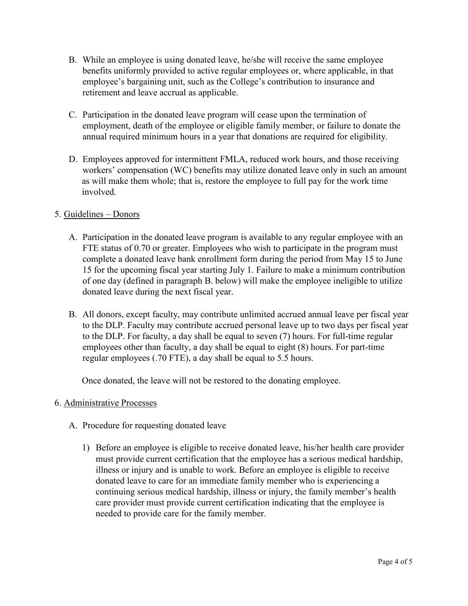- B. While an employee is using donated leave, he/she will receive the same employee benefits uniformly provided to active regular employees or, where applicable, in that employee's bargaining unit, such as the College's contribution to insurance and retirement and leave accrual as applicable.
- C. Participation in the donated leave program will cease upon the termination of employment, death of the employee or eligible family member, or failure to donate the annual required minimum hours in a year that donations are required for eligibility.
- D. Employees approved for intermittent FMLA, reduced work hours, and those receiving workers' compensation (WC) benefits may utilize donated leave only in such an amount as will make them whole; that is, restore the employee to full pay for the work time involved.

## 5. Guidelines – Donors

- A. Participation in the donated leave program is available to any regular employee with an FTE status of 0.70 or greater. Employees who wish to participate in the program must complete a donated leave bank enrollment form during the period from May 15 to June 15 for the upcoming fiscal year starting July 1. Failure to make a minimum contribution of one day (defined in paragraph B. below) will make the employee ineligible to utilize donated leave during the next fiscal year.
- B. All donors, except faculty, may contribute unlimited accrued annual leave per fiscal year to the DLP. Faculty may contribute accrued personal leave up to two days per fiscal year to the DLP. For faculty, a day shall be equal to seven (7) hours. For full-time regular employees other than faculty, a day shall be equal to eight (8) hours. For part-time regular employees (.70 FTE), a day shall be equal to 5.5 hours.

Once donated, the leave will not be restored to the donating employee.

#### 6. Administrative Processes

- A. Procedure for requesting donated leave
	- 1) Before an employee is eligible to receive donated leave, his/her health care provider must provide current certification that the employee has a serious medical hardship, illness or injury and is unable to work. Before an employee is eligible to receive donated leave to care for an immediate family member who is experiencing a continuing serious medical hardship, illness or injury, the family member's health care provider must provide current certification indicating that the employee is needed to provide care for the family member.